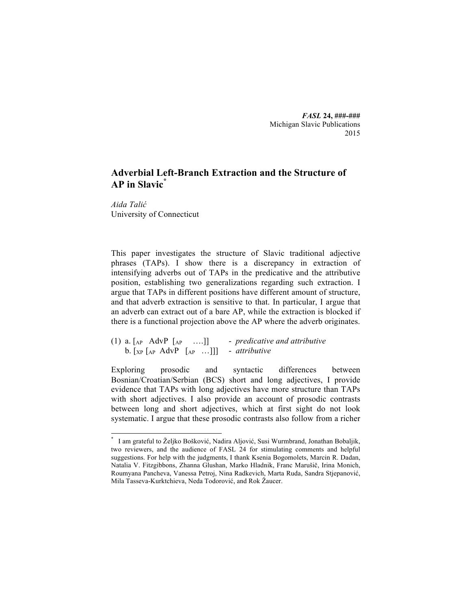*FASL* **24, ###-###** Michigan Slavic Publications 2015

# **Adverbial Left-Branch Extraction and the Structure of AP in Slavic\***

*Aida Talić* University of Connecticut

This paper investigates the structure of Slavic traditional adjective phrases (TAPs). I show there is a discrepancy in extraction of intensifying adverbs out of TAPs in the predicative and the attributive position, establishing two generalizations regarding such extraction. I argue that TAPs in different positions have different amount of structure, and that adverb extraction is sensitive to that. In particular, I argue that an adverb can extract out of a bare AP, while the extraction is blocked if there is a functional projection above the AP where the adverb originates.

(1) a. [AP AdvP [AP ….]] - *predicative and attributive* b. [XP [AP AdvP [AP …]]] - *attributive*

Exploring prosodic and syntactic differences between Bosnian/Croatian/Serbian (BCS) short and long adjectives, I provide evidence that TAPs with long adjectives have more structure than TAPs with short adjectives. I also provide an account of prosodic contrasts between long and short adjectives, which at first sight do not look systematic. I argue that these prosodic contrasts also follow from a richer

 <sup>\*</sup> I am grateful to Željko Bošković, Nadira Aljović, Susi Wurmbrand, Jonathan Bobaljik, two reviewers, and the audience of FASL 24 for stimulating comments and helpful suggestions. For help with the judgments, I thank Ksenia Bogomolets, Marcin R. Dadan, Natalia V. Fitzgibbons, Zhanna Glushan, Marko Hladnik, Franc Marušič, Irina Monich, Roumyana Pancheva, Vanessa Petroj, Nina Radkevich, Marta Ruda, Sandra Stjepanović, Mila Tasseva-Kurktchieva, Neda Todorović, and Rok Žaucer.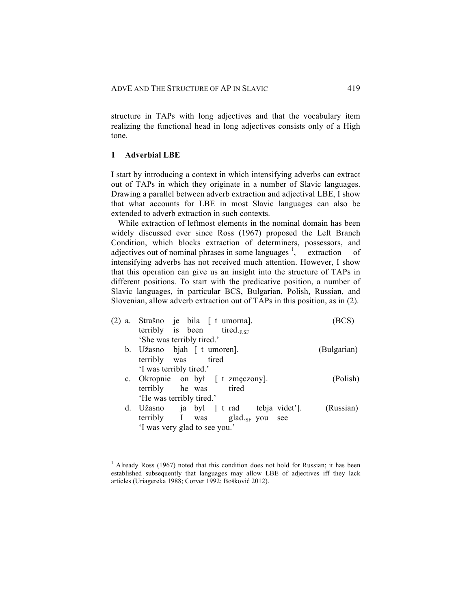structure in TAPs with long adjectives and that the vocabulary item realizing the functional head in long adjectives consists only of a High tone.

## **1 Adverbial LBE**

I start by introducing a context in which intensifying adverbs can extract out of TAPs in which they originate in a number of Slavic languages. Drawing a parallel between adverb extraction and adjectival LBE, I show that what accounts for LBE in most Slavic languages can also be extended to adverb extraction in such contexts.

While extraction of leftmost elements in the nominal domain has been widely discussed ever since Ross (1967) proposed the Left Branch Condition, which blocks extraction of determiners, possessors, and adjectives out of nominal phrases in some languages  $\frac{1}{2}$ , extraction of intensifying adverbs has not received much attention. However, I show that this operation can give us an insight into the structure of TAPs in different positions. To start with the predicative position, a number of Slavic languages, in particular BCS, Bulgarian, Polish, Russian, and Slovenian, allow adverb extraction out of TAPs in this position, as in (2).

| (2) a. Strašno je bila [ t umorna].    |             |
|----------------------------------------|-------------|
| terribly is been tired. <sub>FSF</sub> |             |
| 'She was terribly tired.'              |             |
| b. Užasno bjah [ t umoren].            | (Bulgarian) |
| terribly was tired                     |             |
| 'I was terribly tired.'                |             |
| c. Okropnie on był [ t zmęczony].      | (Polish)    |
| terribly he was tired                  |             |
| 'He was terribly tired.'               |             |
| d. Užasno ja byl [t rad tebja videt']. | (Russian)   |
| terribly I was glad. $_{SF}$ you see   |             |
| 'I was very glad to see you.'          |             |
|                                        |             |

<sup>&</sup>lt;sup>1</sup> Already Ross (1967) noted that this condition does not hold for Russian; it has been established subsequently that languages may allow LBE of adjectives iff they lack articles (Uriagereka 1988; Corver 1992; Bošković 2012).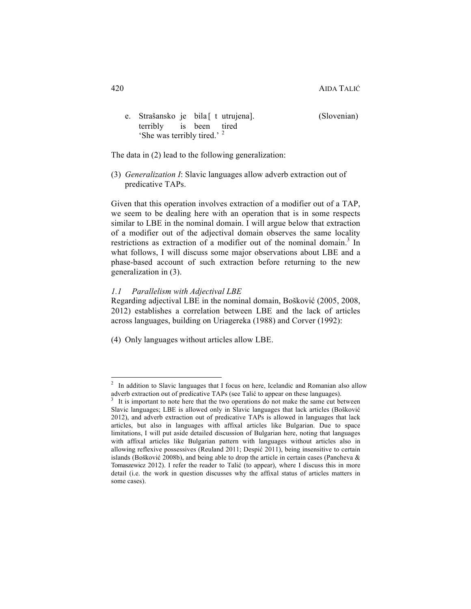e. Strašansko je bila [ t utrujena]. (Slovenian) terribly is been tired 'She was terribly tired.' <sup>2</sup>

The data in (2) lead to the following generalization:

(3) *Generalization I*: Slavic languages allow adverb extraction out of predicative TAPs.

Given that this operation involves extraction of a modifier out of a TAP, we seem to be dealing here with an operation that is in some respects similar to LBE in the nominal domain. I will argue below that extraction of a modifier out of the adjectival domain observes the same locality restrictions as extraction of a modifier out of the nominal domain.<sup>3</sup> In what follows, I will discuss some major observations about LBE and a phase-based account of such extraction before returning to the new generalization in (3).

# *1.1 Parallelism with Adjectival LBE*

Regarding adjectival LBE in the nominal domain, Bošković (2005, 2008, 2012) establishes a correlation between LBE and the lack of articles across languages, building on Uriagereka (1988) and Corver (1992):

(4) Only languages without articles allow LBE.

<sup>&</sup>lt;sup>2</sup> In addition to Slavic languages that I focus on here, Icelandic and Romanian also allow

adverb extraction out of predicative TAPs (see Talić to appear on these languages).<br><sup>3</sup> It is important to note here that the two operations do not make the same cut between Slavic languages; LBE is allowed only in Slavic languages that lack articles (Bošković 2012), and adverb extraction out of predicative TAPs is allowed in languages that lack articles, but also in languages with affixal articles like Bulgarian. Due to space limitations, I will put aside detailed discussion of Bulgarian here, noting that languages with affixal articles like Bulgarian pattern with languages without articles also in allowing reflexive possessives (Reuland 2011; Despić 2011), being insensitive to certain islands (Bošković 2008b), and being able to drop the article in certain cases (Pancheva & Tomaszewicz 2012). I refer the reader to Talić (to appear), where I discuss this in more detail (i.e. the work in question discusses why the affixal status of articles matters in some cases).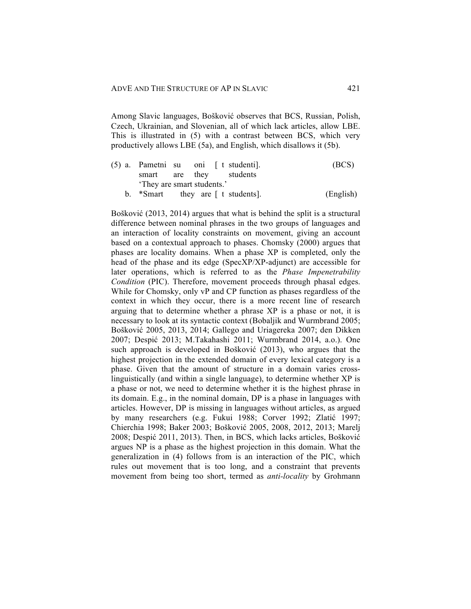Among Slavic languages, Bošković observes that BCS, Russian, Polish, Czech, Ukrainian, and Slovenian, all of which lack articles, allow LBE. This is illustrated in (5) with a contrast between BCS, which very productively allows LBE (5a), and English, which disallows it (5b).

|                            |  | $(5)$ a. Pametni su oni [ t studenti]. | (BCS)     |
|----------------------------|--|----------------------------------------|-----------|
| smart are they students    |  |                                        |           |
| 'They are smart students.' |  |                                        |           |
|                            |  | b. $*Smart$ they are [ t students].    | (English) |

Bošković (2013, 2014) argues that what is behind the split is a structural difference between nominal phrases in the two groups of languages and an interaction of locality constraints on movement, giving an account based on a contextual approach to phases. Chomsky (2000) argues that phases are locality domains. When a phase XP is completed, only the head of the phase and its edge (SpecXP/XP-adjunct) are accessible for later operations, which is referred to as the *Phase Impenetrability Condition* (PIC). Therefore, movement proceeds through phasal edges. While for Chomsky, only vP and CP function as phases regardless of the context in which they occur, there is a more recent line of research arguing that to determine whether a phrase XP is a phase or not, it is necessary to look at its syntactic context (Bobaljik and Wurmbrand 2005; Bošković 2005, 2013, 2014; Gallego and Uriagereka 2007; den Dikken 2007; Despić 2013; M.Takahashi 2011; Wurmbrand 2014, a.o.). One such approach is developed in Bošković (2013), who argues that the highest projection in the extended domain of every lexical category is a phase. Given that the amount of structure in a domain varies crosslinguistically (and within a single language), to determine whether XP is a phase or not, we need to determine whether it is the highest phrase in its domain. E.g., in the nominal domain, DP is a phase in languages with articles. However, DP is missing in languages without articles, as argued by many researchers (e.g. Fukui 1988; Corver 1992; Zlatić 1997; Chierchia 1998; Baker 2003; Bošković 2005, 2008, 2012, 2013; Marelj 2008; Despić 2011, 2013). Then, in BCS, which lacks articles, Bošković argues NP is a phase as the highest projection in this domain. What the generalization in (4) follows from is an interaction of the PIC, which rules out movement that is too long, and a constraint that prevents movement from being too short, termed as *anti-locality* by Grohmann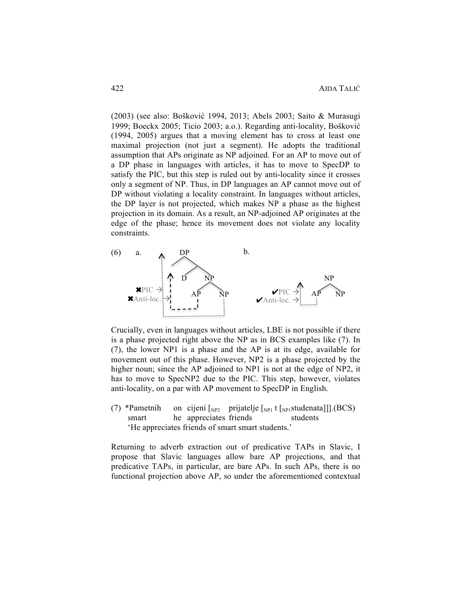(2003) (see also: Bošković 1994, 2013; Abels 2003; Saito & Murasugi 1999; Boeckx 2005; Ticio 2003; a.o.). Regarding anti-locality, Bošković (1994, 2005) argues that a moving element has to cross at least one maximal projection (not just a segment). He adopts the traditional assumption that APs originate as NP adjoined. For an AP to move out of a DP phase in languages with articles, it has to move to SpecDP to satisfy the PIC, but this step is ruled out by anti-locality since it crosses only a segment of NP. Thus, in DP languages an AP cannot move out of DP without violating a locality constraint. In languages without articles, the DP layer is not projected, which makes NP a phase as the highest projection in its domain. As a result, an NP-adjoined AP originates at the edge of the phase; hence its movement does not violate any locality constraints.



Crucially, even in languages without articles, LBE is not possible if there is a phase projected right above the NP as in BCS examples like (7). In (7), the lower NP1 is a phase and the AP is at its edge, available for movement out of this phase. However, NP2 is a phase projected by the higher noun; since the AP adjoined to NP1 is not at the edge of NP2, it has to move to SpecNP2 due to the PIC. This step, however, violates anti-locality, on a par with AP movement to SpecDP in English.

(7) \*Pametnih on cijeni  $\begin{bmatrix} N_{\text{P2}} \\ N_{\text{P1}} \end{bmatrix}$  t  $\begin{bmatrix} N_{\text{P1}} \\ N_{\text{P2}} \end{bmatrix}$  t  $\begin{bmatrix} N_{\text{P1}} \\ N_{\text{P1}} \end{bmatrix}$  (BCS) smart he appreciates friends students 'He appreciates friends of smart smart students.'

Returning to adverb extraction out of predicative TAPs in Slavic, I propose that Slavic languages allow bare AP projections, and that predicative TAPs, in particular, are bare APs. In such APs, there is no functional projection above AP, so under the aforementioned contextual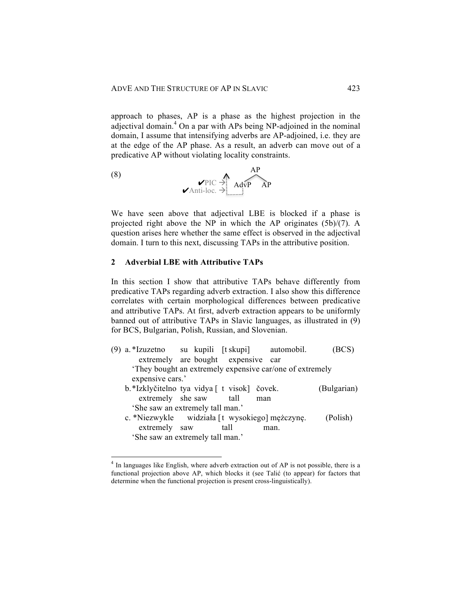approach to phases, AP is a phase as the highest projection in the adjectival domain. <sup>4</sup> On a par with APs being NP-adjoined in the nominal domain, I assume that intensifying adverbs are AP-adjoined, i.e. they are at the edge of the AP phase. As a result, an adverb can move out of a predicative AP without violating locality constraints.

(8) 
$$
\begin{array}{c}\n\mathsf{AP} \\
\mathsf{PIC} \rightarrow \mathsf{AdvP} \\
\mathsf{A}\mathsf{d}\mathsf{v}\mathsf{P}\n\end{array}
$$

We have seen above that adjectival LBE is blocked if a phase is projected right above the NP in which the AP originates (5b)/(7). A question arises here whether the same effect is observed in the adjectival domain. I turn to this next, discussing TAPs in the attributive position.

## **2 Adverbial LBE with Attributive TAPs**

In this section I show that attributive TAPs behave differently from predicative TAPs regarding adverb extraction. I also show this difference correlates with certain morphological differences between predicative and attributive TAPs. At first, adverb extraction appears to be uniformly banned out of attributive TAPs in Slavic languages, as illustrated in (9) for BCS, Bulgarian, Polish, Russian, and Slovenian.

- (9) a. \*Izuzetno su kupili [t skupi] automobil. (BCS) extremely are bought expensive car 'They bought an extremely expensive car/one of extremely expensive cars.' b.\*Izklyčitelno tya vidya [ t visok] čovek. (Bulgarian) extremely she saw tall man
	- 'She saw an extremely tall man.' c. \*Niezwykle widziała [t wysokiego] mężczynę. (Polish)
	- extremely saw tall man. 'She saw an extremely tall man.'

<sup>&</sup>lt;sup>4</sup> In languages like English, where adverb extraction out of AP is not possible, there is a functional projection above AP, which blocks it (see Talić (to appear) for factors that determine when the functional projection is present cross-linguistically).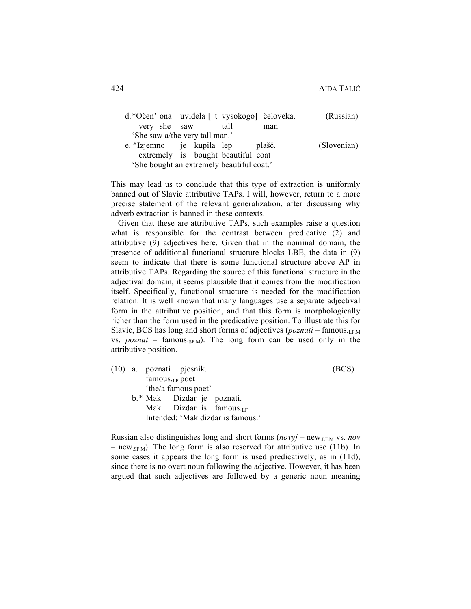| d.*Očen' ona uvidela [ t vysokogo] čeloveka. |                                    |      |        | (Russian)   |
|----------------------------------------------|------------------------------------|------|--------|-------------|
| very she saw                                 |                                    | tall | man    |             |
| 'She saw a/the very tall man.'               |                                    |      |        |             |
| e *Izjemno je kupila lep                     |                                    |      | plašč. | (Slovenian) |
|                                              | extremely is bought beautiful coat |      |        |             |
| 'She bought an extremely beautiful coat.'    |                                    |      |        |             |
|                                              |                                    |      |        |             |

This may lead us to conclude that this type of extraction is uniformly banned out of Slavic attributive TAPs. I will, however, return to a more precise statement of the relevant generalization, after discussing why adverb extraction is banned in these contexts.

Given that these are attributive TAPs, such examples raise a question what is responsible for the contrast between predicative (2) and attributive (9) adjectives here. Given that in the nominal domain, the presence of additional functional structure blocks LBE, the data in (9) seem to indicate that there is some functional structure above AP in attributive TAPs. Regarding the source of this functional structure in the adjectival domain, it seems plausible that it comes from the modification itself. Specifically, functional structure is needed for the modification relation. It is well known that many languages use a separate adjectival form in the attributive position, and that this form is morphologically richer than the form used in the predicative position. To illustrate this for Slavic, BCS has long and short forms of adjectives (*poznati* – famous.<sub>LEM</sub> vs.  $poznat$  – famous. $sF_M$ ). The long form can be used only in the attributive position.

(10) a. poznati pjesnik. (BCS) famous. $_{LF}$  poet 'the/a famous poet' b.\* Mak Dizdar je poznati. Mak Dizdar is famous. Intended: 'Mak dizdar is famous.'

Russian also distinguishes long and short forms (*novyj* – new.LF.M vs. *nov* – new<sub>.SF.M</sub>). The long form is also reserved for attributive use (11b). In some cases it appears the long form is used predicatively, as in (11d), since there is no overt noun following the adjective. However, it has been argued that such adjectives are followed by a generic noun meaning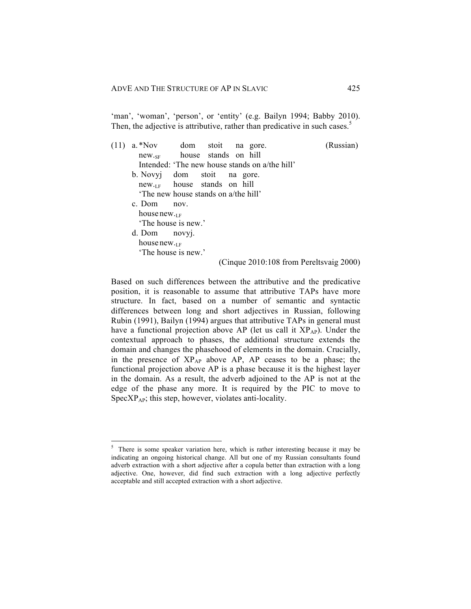'man', 'woman', 'person', or 'entity' (e.g. Bailyn 1994; Babby 2010). Then, the adjective is attributive, rather than predicative in such cases.<sup>5</sup>

| a. *Nov                     |                                                | dom stoit na gore. |  | (Russian)                               |
|-----------------------------|------------------------------------------------|--------------------|--|-----------------------------------------|
|                             | new <sub>se</sub> house stands on hill         |                    |  |                                         |
|                             | Intended: 'The new house stands on a/the hill' |                    |  |                                         |
| b. Novyj dom stoit na gore. |                                                |                    |  |                                         |
|                             | $new_{\text{LF}}$ house stands on hill         |                    |  |                                         |
|                             | The new house stands on a/the hill'            |                    |  |                                         |
| c. Dom                      | $\overline{nov}$ .                             |                    |  |                                         |
| house new.                  |                                                |                    |  |                                         |
|                             | The house is new.'                             |                    |  |                                         |
| $d.$ Dom novy.              |                                                |                    |  |                                         |
| house new.                  |                                                |                    |  |                                         |
|                             | The house is new.'                             |                    |  |                                         |
|                             |                                                |                    |  | (Cinque 2010:108 from Pereltsvaig 2000) |

Based on such differences between the attributive and the predicative position, it is reasonable to assume that attributive TAPs have more structure. In fact, based on a number of semantic and syntactic differences between long and short adjectives in Russian, following Rubin (1991), Bailyn (1994) argues that attributive TAPs in general must have a functional projection above AP (let us call it XP<sub>AP</sub>). Under the contextual approach to phases, the additional structure extends the domain and changes the phasehood of elements in the domain. Crucially, in the presence of  $XP_{AP}$  above AP, AP ceases to be a phase; the functional projection above AP is a phase because it is the highest layer in the domain. As a result, the adverb adjoined to the AP is not at the edge of the phase any more. It is required by the PIC to move to  $SpecXP_{AP}$ ; this step, however, violates anti-locality.

<sup>&</sup>lt;sup>5</sup> There is some speaker variation here, which is rather interesting because it may be indicating an ongoing historical change. All but one of my Russian consultants found adverb extraction with a short adjective after a copula better than extraction with a long adjective. One, however, did find such extraction with a long adjective perfectly acceptable and still accepted extraction with a short adjective.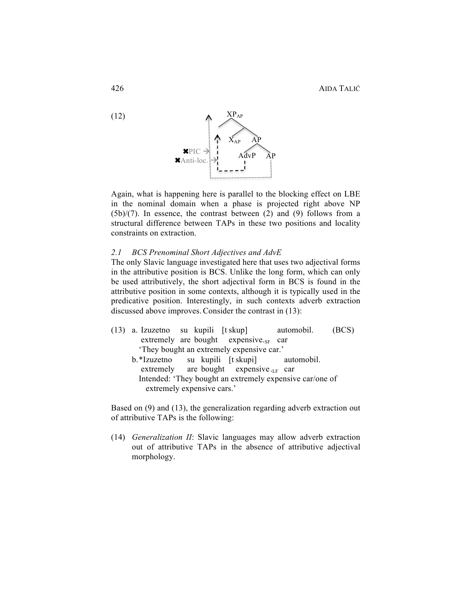

Again, what is happening here is parallel to the blocking effect on LBE in the nominal domain when a phase is projected right above NP  $(5b)/(7)$ . In essence, the contrast between (2) and (9) follows from a structural difference between TAPs in these two positions and locality constraints on extraction.

### *2.1 BCS Prenominal Short Adjectives and AdvE*

The only Slavic language investigated here that uses two adjectival forms in the attributive position is BCS. Unlike the long form, which can only be used attributively, the short adjectival form in BCS is found in the attributive position in some contexts, although it is typically used in the predicative position. Interestingly, in such contexts adverb extraction discussed above improves.Consider the contrast in (13):

- (13) a. Izuzetno su kupili [t skup] automobil. (BCS) extremely are bought expensive. $_{SF}$  car 'They bought an extremely expensive car.'
	- b.\*Izuzetno su kupili [t skupi] automobil. extremely are bought expensive. $_{LF}$  car Intended: 'They bought an extremely expensive car/one of extremely expensive cars.'

Based on (9) and (13), the generalization regarding adverb extraction out of attributive TAPs is the following:

(14) *Generalization II*: Slavic languages may allow adverb extraction out of attributive TAPs in the absence of attributive adjectival morphology.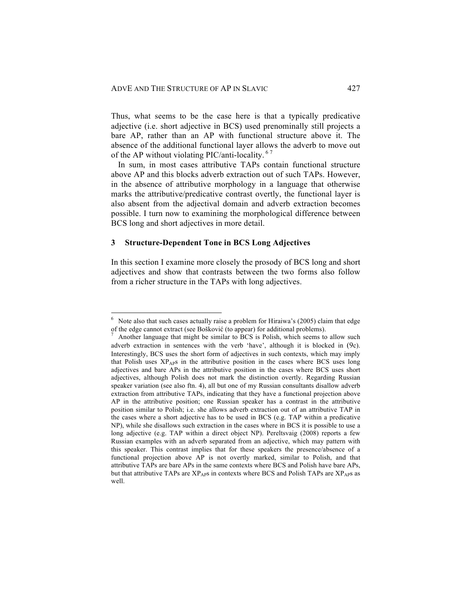Thus, what seems to be the case here is that a typically predicative adjective (i.e. short adjective in BCS) used prenominally still projects a bare AP, rather than an AP with functional structure above it. The absence of the additional functional layer allows the adverb to move out of the AP without violating PIC/anti-locality.<sup>67</sup>

In sum, in most cases attributive TAPs contain functional structure above AP and this blocks adverb extraction out of such TAPs. However, in the absence of attributive morphology in a language that otherwise marks the attributive/predicative contrast overtly, the functional layer is also absent from the adjectival domain and adverb extraction becomes possible. I turn now to examining the morphological difference between BCS long and short adjectives in more detail.

### **3 Structure-Dependent Tone in BCS Long Adjectives**

In this section I examine more closely the prosody of BCS long and short adjectives and show that contrasts between the two forms also follow from a richer structure in the TAPs with long adjectives.

 $6$  Note also that such cases actually raise a problem for Hiraiwa's (2005) claim that edge of the edge cannot extract (see Bošković (to appear) for additional problems).<br><sup>7</sup> Another language that might be similar to BCS is Polish, which seems to allow such

adverb extraction in sentences with the verb 'have', although it is blocked in (9c). Interestingly, BCS uses the short form of adjectives in such contexts, which may imply that Polish uses  $XP_{AP}$  in the attributive position in the cases where BCS uses long adjectives and bare APs in the attributive position in the cases where BCS uses short adjectives, although Polish does not mark the distinction overtly. Regarding Russian speaker variation (see also ftn. 4), all but one of my Russian consultants disallow adverb extraction from attributive TAPs, indicating that they have a functional projection above AP in the attributive position; one Russian speaker has a contrast in the attributive position similar to Polish; i.e. she allows adverb extraction out of an attributive TAP in the cases where a short adjective has to be used in BCS (e.g. TAP within a predicative NP), while she disallows such extraction in the cases where in BCS it is possible to use a long adjective (e.g. TAP within a direct object NP). Pereltsvaig (2008) reports a few Russian examples with an adverb separated from an adjective, which may pattern with this speaker. This contrast implies that for these speakers the presence/absence of a functional projection above AP is not overtly marked, similar to Polish, and that attributive TAPs are bare APs in the same contexts where BCS and Polish have bare APs, but that attributive TAPs are  $XP_{AP}$ s in contexts where BCS and Polish TAPs are  $XP_{AP}$ s as well.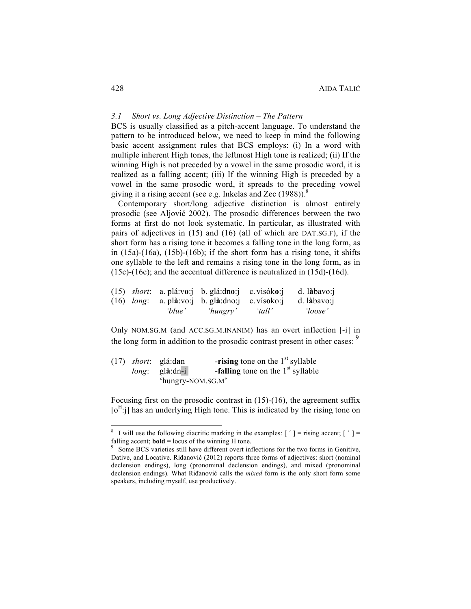# *3.1 Short vs. Long Adjective Distinction – The Pattern*

BCS is usually classified as a pitch-accent language. To understand the pattern to be introduced below, we need to keep in mind the following basic accent assignment rules that BCS employs: (i) In a word with multiple inherent High tones, the leftmost High tone is realized; (ii) If the winning High is not preceded by a vowel in the same prosodic word, it is realized as a falling accent; (iii) If the winning High is preceded by a vowel in the same prosodic word, it spreads to the preceding vowel giving it a rising accent (see e.g. Inkelas and Zec  $(1988)$ ).<sup>8</sup>

Contemporary short/long adjective distinction is almost entirely prosodic (see Aljović 2002). The prosodic differences between the two forms at first do not look systematic. In particular, as illustrated with pairs of adjectives in (15) and (16) (all of which are DAT.SG.F), if the short form has a rising tone it becomes a falling tone in the long form, as in  $(15a)-(16a)$ ,  $(15b)-(16b)$ ; if the short form has a rising tone, it shifts one syllable to the left and remains a rising tone in the long form, as in (15c)-(16c); and the accentual difference is neutralized in (15d)-(16d).

|  |        | $(15)$ <i>short</i> : a plá:vo: b glá:dno: c visóko: |        | d. làbavo:j |
|--|--------|------------------------------------------------------|--------|-------------|
|  |        | $(16)$ long: a plà:vo: b glà:dno: c vísoko:          |        | d. làbavo:i |
|  | 'blue' | 'hungry'                                             | 'tall' | 'loose'     |

Only NOM.SG.M (and ACC.SG.M.INANIM) has an overt inflection [-i] in the long form in addition to the prosodic contrast present in other cases: <sup>9</sup>

|  | $(17)$ <i>short</i> : glá:dan | -rising tone on the $1st$ syllable         |
|--|-------------------------------|--------------------------------------------|
|  | $long:$ glà:dn-i              | <b>-falling</b> tone on the $1st$ syllable |
|  |                               | 'hungry-NOM.SG.M'                          |

Focusing first on the prosodic contrast in  $(15)-(16)$ , the agreement suffix  $[0<sup>H</sup>:j]$  has an underlying High tone. This is indicated by the rising tone on

<sup>&</sup>lt;sup>8</sup> I will use the following diacritic marking in the examples:  $[$   $]$  = rising accent;  $[$   $]$  = falling accent; **bold** = locus of the winning H tone.<br><sup>9</sup> Some BCS varieties still have different overt inflections for the two forms in Genitive,

Dative, and Locative. Riđanović (2012) reports three forms of adjectives: short (nominal declension endings), long (pronominal declension endings), and mixed (pronominal declension endings). What Riđanović calls the *mixed* form is the only short form some speakers, including myself, use productively.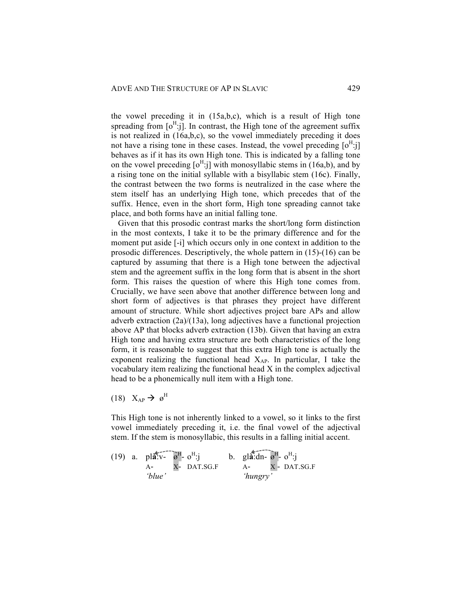the vowel preceding it in (15a,b,c), which is a result of High tone spreading from  $\lceil 0^H: j \rceil$ . In contrast, the High tone of the agreement suffix is not realized in (16a,b,c), so the vowel immediately preceding it does not have a rising tone in these cases. Instead, the vowel preceding  $\lceil 0^H: j \rceil$ behaves as if it has its own High tone. This is indicated by a falling tone on the vowel preceding  $[0<sup>H</sup>:j]$  with monosyllabic stems in (16a,b), and by a rising tone on the initial syllable with a bisyllabic stem (16c). Finally, the contrast between the two forms is neutralized in the case where the stem itself has an underlying High tone, which precedes that of the suffix. Hence, even in the short form, High tone spreading cannot take place, and both forms have an initial falling tone.

Given that this prosodic contrast marks the short/long form distinction in the most contexts, I take it to be the primary difference and for the moment put aside [-i] which occurs only in one context in addition to the prosodic differences. Descriptively, the whole pattern in (15)-(16) can be captured by assuming that there is a High tone between the adjectival stem and the agreement suffix in the long form that is absent in the short form. This raises the question of where this High tone comes from. Crucially, we have seen above that another difference between long and short form of adjectives is that phrases they project have different amount of structure. While short adjectives project bare APs and allow adverb extraction (2a)/(13a), long adjectives have a functional projection above AP that blocks adverb extraction (13b). Given that having an extra High tone and having extra structure are both characteristics of the long form, it is reasonable to suggest that this extra High tone is actually the exponent realizing the functional head  $X_{AP}$ . In particular, I take the vocabulary item realizing the functional head X in the complex adjectival head to be a phonemically null item with a High tone.

(18)  $X_{AP} \rightarrow \varnothing^H$ 

This High tone is not inherently linked to a vowel, so it links to the first vowel immediately preceding it, i.e. the final vowel of the adjectival stem. If the stem is monosyllabic, this results in a falling initial accent.

(19) a. 
$$
pl\overrightarrow{a}^T\overrightarrow{v}^H - o^H
$$
:  
\nA- X- DAT.SG.F  
\n'blue'  
\n $hungry'$   
\n $hungry'$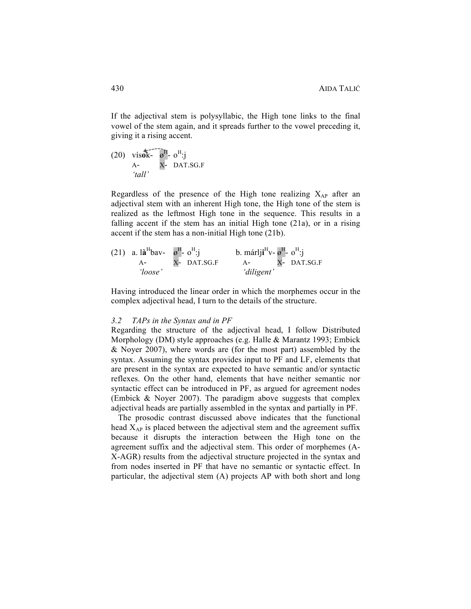If the adjectival stem is polysyllabic, the High tone links to the final vowel of the stem again, and it spreads further to the vowel preceding it, giving it a rising accent.

(20) vís**ok**-  $\boldsymbol{\varnothing}^{\text{H}}$ -  $\boldsymbol{\varnothing}^{\text{H}}$ -  $\boldsymbol{\varnothing}^{\text{H}}$ - j A- X- DAT.SG.F *'tall'*

Regardless of the presence of the High tone realizing  $X_{AP}$  after an adjectival stem with an inherent High tone, the High tone of the stem is realized as the leftmost High tone in the sequence. This results in a falling accent if the stem has an initial High tone (21a), or in a rising accent if the stem has a non-initial High tone (21b).

(21) a. 
$$
l\mathbf{a}^H
$$
 bav-  $\mathbf{a}^H \cdot \mathbf{o}^H$ :  
\na.  $\mathbf{a}^H$  bav-  $\mathbf{a}^H \cdot \mathbf{o}^H$ :  
\nb.  $\text{marlji}^H \mathbf{v} \cdot \mathbf{a}^H \cdot \mathbf{o}^H$ :  
\nb.  $\text{marlji}^H \mathbf{v} \cdot \mathbf{a}^H \cdot \mathbf{o}^H$ :  
\n*Y*- DAT.SG.F  
\n*'divigent'*

Having introduced the linear order in which the morphemes occur in the complex adjectival head, I turn to the details of the structure.

#### *3.2 TAPs in the Syntax and in PF*

Regarding the structure of the adjectival head, I follow Distributed Morphology (DM) style approaches (e.g. Halle & Marantz 1993; Embick & Noyer 2007), where words are (for the most part) assembled by the syntax. Assuming the syntax provides input to PF and LF, elements that are present in the syntax are expected to have semantic and/or syntactic reflexes. On the other hand, elements that have neither semantic nor syntactic effect can be introduced in PF, as argued for agreement nodes (Embick & Noyer 2007). The paradigm above suggests that complex adjectival heads are partially assembled in the syntax and partially in PF.

The prosodic contrast discussed above indicates that the functional head  $X_{AP}$  is placed between the adjectival stem and the agreement suffix because it disrupts the interaction between the High tone on the agreement suffix and the adjectival stem. This order of morphemes (A-X-AGR) results from the adjectival structure projected in the syntax and from nodes inserted in PF that have no semantic or syntactic effect. In particular, the adjectival stem (A) projects AP with both short and long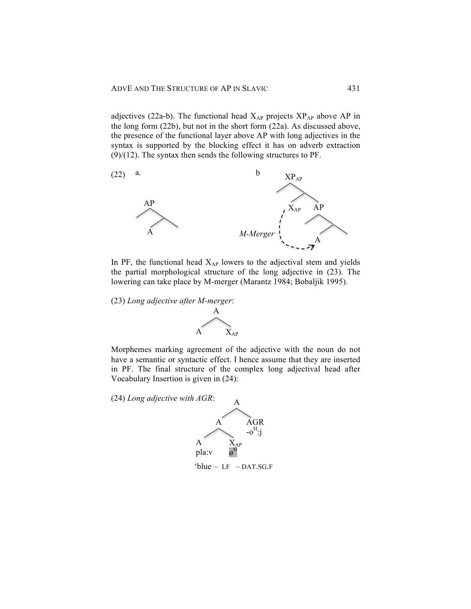adjectives (22a-b). The functional head  $X_{AP}$  projects  $XP_{AP}$  above AP in the long form (22b), but not in the short form (22a). As discussed above, the presence of the functional layer above AP with long adjectives in the syntax is supported by the blocking effect it has on adverb extraction  $(9)/(12)$ . The syntax then sends the following structures to PF.



In PF, the functional head  $X_{AP}$  lowers to the adjectival stem and yields the partial morphological structure of the long adjective in (23). The lowering can take place by M-merger (Marantz 1984; Bobaljik 1995).

(23) *Long adjective after M-merger*:



Morphemes marking agreement of the adjective with the noun do not have a semantic or syntactic effect. I hence assume that they are inserted in PF. The final structure of the complex long adjectival head after Vocabulary Insertion is given in (24):

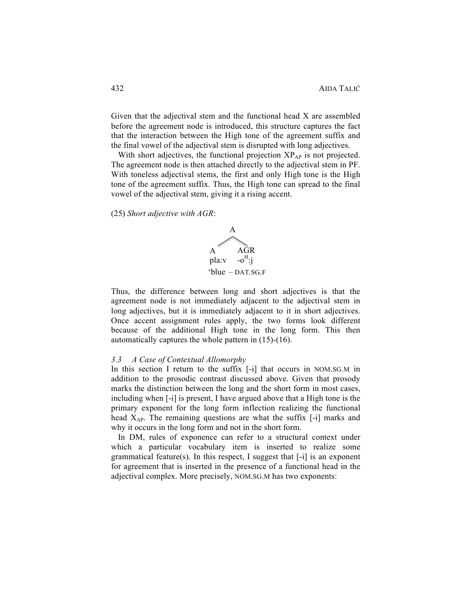Given that the adjectival stem and the functional head X are assembled before the agreement node is introduced, this structure captures the fact that the interaction between the High tone of the agreement suffix and the final vowel of the adjectival stem is disrupted with long adjectives.

With short adjectives, the functional projection  $XP_{AP}$  is not projected. The agreement node is then attached directly to the adjectival stem in PF. With toneless adjectival stems, the first and only High tone is the High tone of the agreement suffix. Thus, the High tone can spread to the final vowel of the adjectival stem, giving it a rising accent.

(25) *Short adjective with AGR*:



Thus, the difference between long and short adjectives is that the agreement node is not immediately adjacent to the adjectival stem in long adjectives, but it is immediately adjacent to it in short adjectives. Once accent assignment rules apply, the two forms look different because of the additional High tone in the long form. This then automatically captures the whole pattern in (15)-(16).

#### *3.3 A Case of Contextual Allomorphy*

In this section I return to the suffix [-i] that occurs in NOM.SG.M in addition to the prosodic contrast discussed above. Given that prosody marks the distinction between the long and the short form in most cases, including when [-i] is present, I have argued above that a High tone is the primary exponent for the long form inflection realizing the functional head  $X_{AP}$ . The remaining questions are what the suffix [-i] marks and why it occurs in the long form and not in the short form.

In DM, rules of exponence can refer to a structural context under which a particular vocabulary item is inserted to realize some grammatical feature(s). In this respect, I suggest that [-i] is an exponent for agreement that is inserted in the presence of a functional head in the adjectival complex. More precisely, NOM.SG.M has two exponents: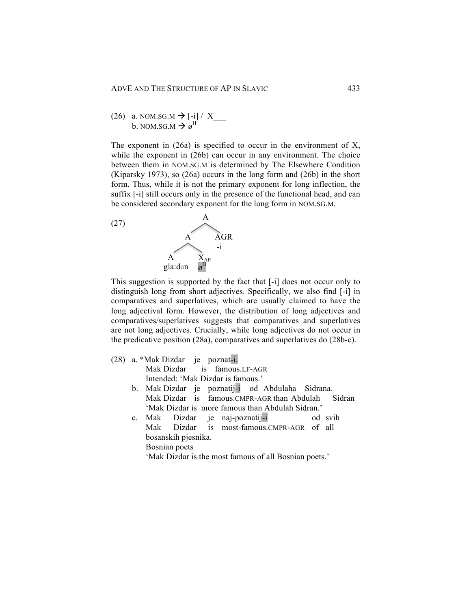(26) a. NOM.SG.M 
$$
\rightarrow
$$
 [-i] / X \_\_\_\_\_\_  
b. NOM.SG.M  $\rightarrow \varnothing^H$ 

The exponent in  $(26a)$  is specified to occur in the environment of X, while the exponent in (26b) can occur in any environment. The choice between them in NOM.SG.M is determined by The Elsewhere Condition (Kiparsky 1973), so (26a) occurs in the long form and (26b) in the short form. Thus, while it is not the primary exponent for long inflection, the suffix [-i] still occurs only in the presence of the functional head, and can be considered secondary exponent for the long form in NOM.SG.M.



This suggestion is supported by the fact that [-i] does not occur only to distinguish long from short adjectives. Specifically, we also find [-i] in comparatives and superlatives, which are usually claimed to have the long adjectival form. However, the distribution of long adjectives and comparatives/superlatives suggests that comparatives and superlatives are not long adjectives. Crucially, while long adjectives do not occur in the predicative position (28a), comparatives and superlatives do (28b-c).

| (28) | a. *Mak Dizdar je poznat-i.                           |
|------|-------------------------------------------------------|
|      | Mak Dizdar is famous.LF-AGR                           |
|      | Intended: 'Mak Dizdar is famous.'                     |
|      | b. Mak Dizdar je poznatij-i od Abdulaha Sidrana.      |
|      | Mak Dizdar is famous.CMPR-AGR than Abdulah Sidran     |
|      | 'Mak Dizdar is more famous than Abdulah Sidran.'      |
|      | c. Mak Dizdar je naj-poznatij-i od svih               |
|      | Mak Dizdar is most-famous.CMPR-AGR of all             |
|      | bosanskih pjesnika.                                   |
|      | Bosnian poets                                         |
|      | 'Mak Dizdar is the most famous of all Bosnian poets.' |
|      |                                                       |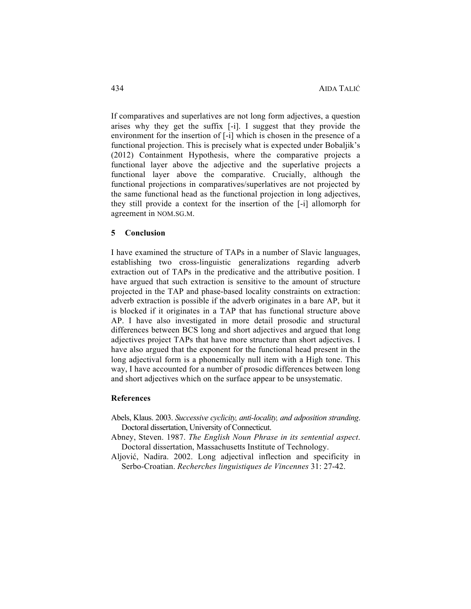If comparatives and superlatives are not long form adjectives, a question arises why they get the suffix [-i]. I suggest that they provide the environment for the insertion of [-i] which is chosen in the presence of a functional projection. This is precisely what is expected under Bobaljik's (2012) Containment Hypothesis, where the comparative projects a functional layer above the adjective and the superlative projects a functional layer above the comparative. Crucially, although the functional projections in comparatives/superlatives are not projected by the same functional head as the functional projection in long adjectives, they still provide a context for the insertion of the [-i] allomorph for agreement in NOM.SG.M.

# **5 Conclusion**

I have examined the structure of TAPs in a number of Slavic languages, establishing two cross-linguistic generalizations regarding adverb extraction out of TAPs in the predicative and the attributive position. I have argued that such extraction is sensitive to the amount of structure projected in the TAP and phase-based locality constraints on extraction: adverb extraction is possible if the adverb originates in a bare AP, but it is blocked if it originates in a TAP that has functional structure above AP. I have also investigated in more detail prosodic and structural differences between BCS long and short adjectives and argued that long adjectives project TAPs that have more structure than short adjectives. I have also argued that the exponent for the functional head present in the long adjectival form is a phonemically null item with a High tone. This way, I have accounted for a number of prosodic differences between long and short adjectives which on the surface appear to be unsystematic.

# **References**

- Abels, Klaus. 2003. *Successive cyclicity, anti-locality, and adposition stranding*. Doctoral dissertation, University of Connecticut.
- Abney, Steven. 1987. *The English Noun Phrase in its sentential aspect*. Doctoral dissertation, Massachusetts Institute of Technology.
- Aljović, Nadira. 2002. Long adjectival inflection and specificity in Serbo-Croatian. *Recherches linguistiques de Vincennes* 31: 27-42.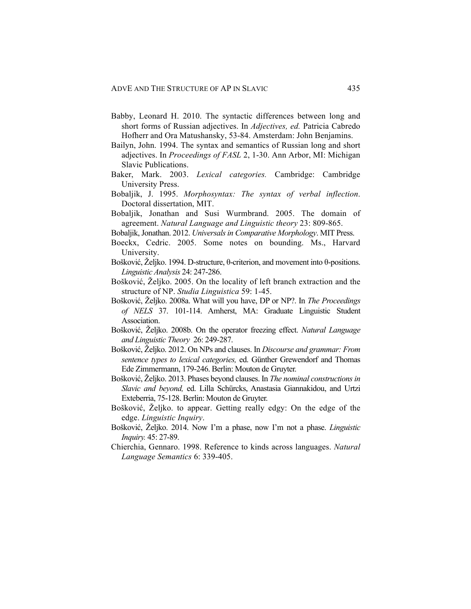- Babby, Leonard H. 2010. The syntactic differences between long and short forms of Russian adjectives. In *Adjectives, ed.* Patricia Cabredo Hofherr and Ora Matushansky, 53-84. Amsterdam: John Benjamins.
- Bailyn, John. 1994. The syntax and semantics of Russian long and short adjectives. In *Proceedings of FASL* 2, 1-30. Ann Arbor, MI: Michigan Slavic Publications.
- Baker, Mark. 2003. *Lexical categories.* Cambridge: Cambridge University Press.
- Bobaljik, J. 1995. *Morphosyntax: The syntax of verbal inflection*. Doctoral dissertation, MIT.
- Bobaljik, Jonathan and Susi Wurmbrand. 2005. The domain of agreement. *Natural Language and Linguistic theory* 23: 809-865.
- Bobaljik, Jonathan. 2012. *Universals in Comparative Morphology*. MIT Press.
- Boeckx, Cedric. 2005. Some notes on bounding. Ms., Harvard University.
- Bošković, Željko. 1994. D-structure, θ-criterion, and movement into θ-positions. *Linguistic Analysis* 24: 247-286.
- Bošković, Željko. 2005. On the locality of left branch extraction and the structure of NP. *Studia Linguistica* 59: 1-45.
- Bošković, Željko. 2008a. What will you have, DP or NP?. In *The Proceedings of NELS* 37. 101-114. Amherst, MA: Graduate Linguistic Student Association.
- Bošković, Željko. 2008b. On the operator freezing effect. *Natural Language and Linguistic Theory* 26: 249-287.
- Bošković, Željko. 2012. On NPs and clauses. In *Discourse and grammar: From sentence types to lexical categories,* ed. Günther Grewendorf and Thomas Ede Zimmermann, 179-246. Berlin: Mouton de Gruyter.
- Bošković, Željko. 2013. Phases beyond clauses. In *The nominal constructions in Slavic and beyond,* ed. Lilla Schürcks, Anastasia Giannakidou, and Urtzi Exteberria, 75-128. Berlin: Mouton de Gruyter.
- Bošković, Željko. to appear. Getting really edgy: On the edge of the edge. *Linguistic Inquiry*.
- Bošković, Željko. 2014. Now I'm a phase, now I'm not a phase. *Linguistic Inquiry.* 45: 27-89.
- Chierchia, Gennaro. 1998. Reference to kinds across languages. *Natural Language Semantics* 6: 339-405.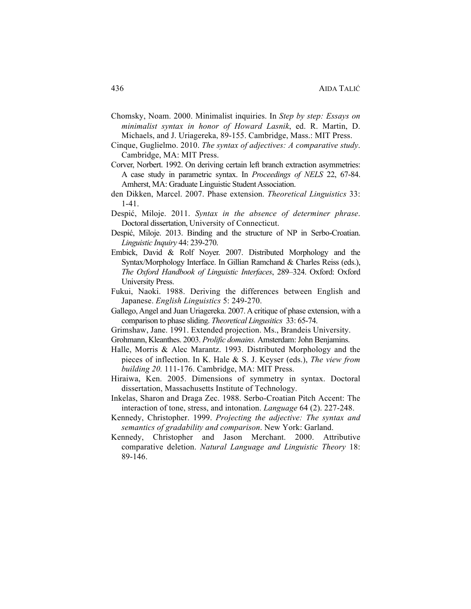- Chomsky, Noam. 2000. Minimalist inquiries. In *Step by step: Essays on minimalist syntax in honor of Howard Lasnik*, ed. R. Martin, D. Michaels, and J. Uriagereka, 89-155. Cambridge, Mass.: MIT Press.
- Cinque, Guglielmo. 2010. *The syntax of adjectives: A comparative study*. Cambridge, MA: MIT Press.
- Corver, Norbert. 1992. On deriving certain left branch extraction asymmetries: A case study in parametric syntax. In *Proceedings of NELS* 22, 67-84. Amherst, MA: Graduate Linguistic Student Association.
- den Dikken, Marcel. 2007. Phase extension. *Theoretical Linguistics* 33: 1-41.
- Despić, Miloje. 2011. *Syntax in the absence of determiner phrase*. Doctoral dissertation, University of Connecticut.
- Despić, Miloje. 2013. Binding and the structure of NP in Serbo-Croatian. *Linguistic Inquiry* 44: 239-270.
- Embick, David & Rolf Noyer. 2007. Distributed Morphology and the Syntax/Morphology Interface. In Gillian Ramchand & Charles Reiss (eds.), *The Oxford Handbook of Linguistic Interfaces*, 289–324. Oxford: Oxford University Press.
- Fukui, Naoki. 1988. Deriving the differences between English and Japanese. *English Linguistics* 5: 249-270.
- Gallego, Angel and Juan Uriagereka. 2007. A critique of phase extension, with a comparison to phase sliding. *Theoretical Lingusitics* 33: 65-74.
- Grimshaw, Jane. 1991. Extended projection. Ms., Brandeis University.
- Grohmann, Kleanthes. 2003. *Prolific domains.* Amsterdam: John Benjamins.
- Halle, Morris & Alec Marantz. 1993. Distributed Morphology and the pieces of inflection. In K. Hale & S. J. Keyser (eds.), *The view from building 20.* 111-176. Cambridge, MA: MIT Press.
- Hiraiwa, Ken. 2005. Dimensions of symmetry in syntax. Doctoral dissertation, Massachusetts Institute of Technology.
- Inkelas, Sharon and Draga Zec. 1988. Serbo-Croatian Pitch Accent: The interaction of tone, stress, and intonation. *Language* 64 (2). 227-248.
- Kennedy, Christopher. 1999. *Projecting the adjective: The syntax and semantics of gradability and comparison*. New York: Garland.
- Kennedy, Christopher and Jason Merchant. 2000. Attributive comparative deletion. *Natural Language and Linguistic Theory* 18: 89-146.